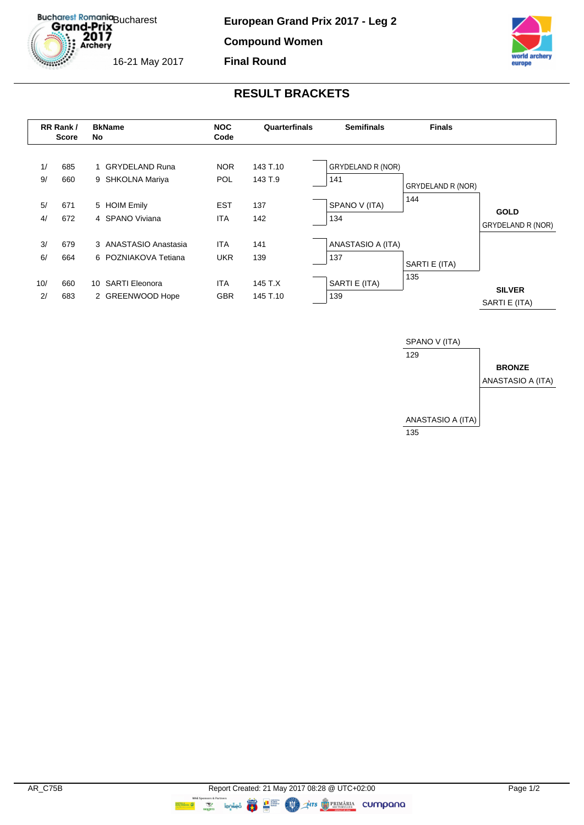Bucharest Romania<br> **Grand-Prix**  $2017$ <br>Archery

16-21 May 2017

**European Grand Prix 2017 - Leg 2**

**Compound Women**

**Final Round**



## **RESULT BRACKETS**